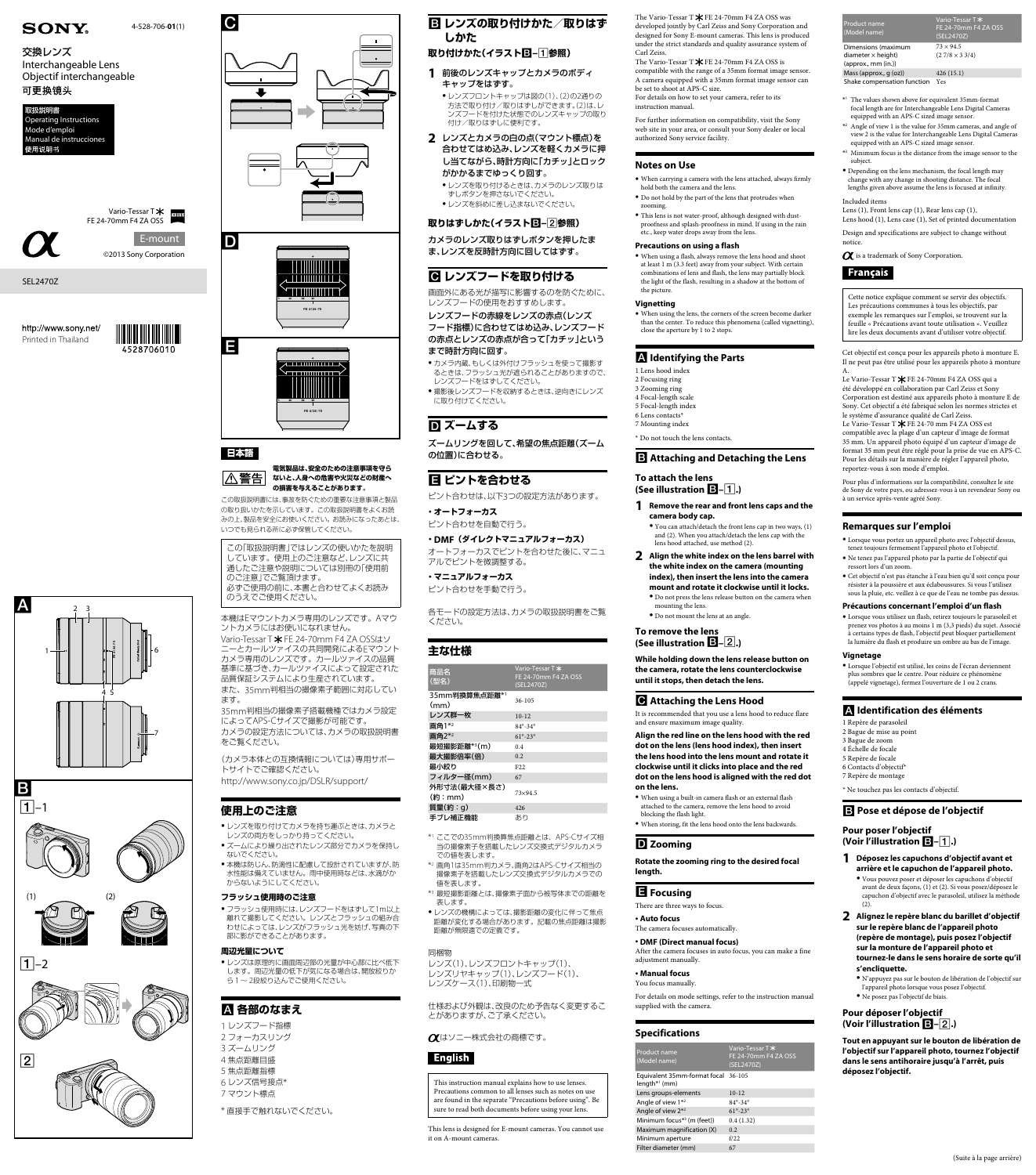









# **FE 4/24-70**

### 日本語

E

 $\mathbf C$ 

2

1 6

7

 $\overline{B}$  $\Box$  3

4 5 **FE 4/24-70**

### **電気製品は、安全のための注意事項を守ら** △警告 **ないと、人身への危害や火災などの財産へ の損害を与えることがあります。**

この取扱説明書には、事故を防ぐための重要な注意事項と製品 の取り扱いかたを示しています。この取扱説明書をよくお読 みの上、製品を安全にお使いください。お読みになったあとは、 いつでも見られる所に必ず保管してください。

この「取扱説明書」ではレンズの使いかたを説明 しています。使用上のご注意など、レンズに共 通したご注意や説明については別冊の「使用前 のご注意」でご覧頂けます。 必ずご使用の前に、本書と合わせてよくお読み のうえでご使用ください。

- ●レンズを取り付けてカメラを持ち運ぶときは、カメラと レンズの両方をしっかり持ってください。
- ●ズームにより繰り出されたレンズ部分でカメラを保持し ないでください。
- ●本機は防じん、防滴性に配慮して設計されていますが、防 水性能は備えていません。雨中使用時などは、水滴がか からないようにしてください。

本機はEマウントカメラ専用のレンズです。Aマウ ントカメラにはお使いになれません。 Vario-Tessar T \* FE 24-70mm F4 ZA OSSはソ ニーとカールツァイスの共同開発によるEマウント カメラ専用のレンズです。カールツァイスの品質 基準に基づき、カールツァイスによって設定された 品質保証システムにより生産されています。 また、35mm判相当の撮像素子範囲に対応してい ます。

● フラッシュ使用時には、レンズフードをはずして1m以上 離れて撮影してください。レンズとフラッシュの組み合 わせによっては、レンズがフラッシュ光を妨げ、写真の下 部に影ができることがあります。

●レンズは原理的に画面周辺部の光量が中心部に比べ低下 します。周辺光量の低下が気になる場合は、開放絞りか ら1~ 2段絞り込んでご使用ください。

35mm判相当の撮像素子搭載機種ではカメラ設定 によってAPS-Cサイズで撮影が可能です。 カメラの設定方法については、カメラの取扱説明書 をご覧ください。

(カメラ本体との互換情報については)専用サポー トサイトでご確認ください。 http://www.sony.co.jp/DSLR/support/

# **使用上のご注意**

● カメラ内蔵、もしくは外付けフラッシュを使って撮影す るときは、フラッシュ光が遮られることがありますので、 レンズフードをはずしてください。

### **フラッシュ使用時のご注意**

●撮影後レンズフードを収納するときは、逆向きにレンズ に取り付けてください。

# **D** ズームする

### **周辺光量について**

# **各部のなまえ**

1 レンズフード指標 2 フォーカスリング 3 ズームリング 4 焦点距離目盛 5 焦点距離指標 6 レンズ信号接点\* 7 マウント標点

\* 直接手で触れないでください。

# **レンズの取り付けかた/取りはず しかた**

# **取り付けかた(イラスト–参照)**

● レンズの機構によっては、撮影距離の変化に伴って焦点 距離が変化する場合があります。記載の焦点距離は撮影 距離が無限遠での定義です。

- **1** 前後のレンズキャップとカメラのボディ キャップをはずす。
- ●レンズフロントキャップは図の(1)、(2)の2通りの 方法で取り付け/取りはずしができます。(2)は、レ ンズフードを付けた状態でのレンズキャップの取り 付け/取りはずしに便利です。
- **2** レンズとカメラの白の点(マウント標点)を 合わせてはめ込み、レンズを軽くカメラに押 し当てながら、時計方向に「カチッ」とロック がかかるまでゆっくり回す。
	- ●レンズを取り付けるときは、カメラのレンズ取りは ずしボタンを押さないでください。 ˎˎ レンズを斜めに差し込まないでください。

### **取りはずしかた(イラスト–参照)**

カメラのレンズ取りはずしボタンを押したま ま、レンズを反時計方向に回してはずす。

# **レンズフードを取り付ける**

The Vario-Tessar T $*$  FE 24-70mm F4 ZA OSS was developed jointly by Carl Zeiss and Sony Corporation and designed for Sony E-mount cameras. This lens is produced under the strict standards and quality assurance system of Carl Zeiss.

画面外にある光が描写に影響するのを防ぐために、 レンズフードの使用をおすすめします。

レンズフードの赤線をレンズの赤点(レンズ

フード指標)に合わせてはめ込み、レンズフード の赤点とレンズの赤点が合って「カチッ」という まで時計方向に回す。

The Vario-Tessar T $\bigstar$ FE 24-70mm F4 ZA OSS is compatible with the range of a 35mm format image sensor. A camera equipped with a 35mm format image sensor can be set to shoot at APS-C size. For details on how to set your camera, refer to its

ズームリングを回して、希望の焦点距離(ズーム の位置)に合わせる。

# **ピントを合わせる**

ピント合わせは、以下3つの設定方法があります。

**・オートフォーカス** ピント合わせを自動で行う。

**・DMF(ダイレクトマニュアルフォーカス)** オートフォーカスでピントを合わせた後に、マニュ アルでピントを微調整する。

**・マニュアルフォーカス** ピント合わせを手動で行う。

各モードの設定方法は、カメラの取扱説明書をご覧 ください。

### **主な仕様**

 $\bullet$  When using a flash, always remove the lens hood and shoot at least 1 m (3.3 feet) away from your subject. With certain combinations of lens and flash, the lens may partially block the light of the flash, resulting in a shadow at the bottom of the picture.

| 商品名<br>(型名)            | Vario-Tessar T *<br>FE 24-70mm F4 ZA OSS<br>(SEL2470Z) |
|------------------------|--------------------------------------------------------|
| 35mm判換算焦点距離*1<br>(mm)  | $36 - 105$                                             |
| レンズ群一枚                 | $10 - 12$                                              |
| 画角1*2                  | $84^{\circ} - 34^{\circ}$                              |
| 画角2*2                  | $61^{\circ} - 23^{\circ}$                              |
| 最短撮影距離*3(m)            | 0.4                                                    |
| 最大撮影倍率(倍)              | 0.2                                                    |
| 最小絞り                   | F <sub>22</sub>                                        |
| フィルター径(mm)             | 67                                                     |
| 外形寸法(最大径×長さ)<br>(約:mm) | $73\times94.5$                                         |
| 質量(約:g)                | 426                                                    |
| 手ブレ補正機能                | あり                                                     |

- \*1 ここでの35mm判換算焦点距離とは、APS-Cサイズ相 当の撮像素子を搭載したレンズ交換式デジタルカメラ での値を表します。
- \*2 画角1は35mm判カメラ、画角2はAPS-Cサイズ相当の 撮像素子を搭載したレンズ交換式デジタルカメラでの 値を表します。

 $\bullet$  You can attach/detach the front lens cap in two ways, (1) and (2). When you attach/detach the lens cap with the lens hood attached, use method (2).

- **2 Align the white index on the lens barrel with the white index on the camera (mounting index), then insert the lens into the camera mount and rotate it clockwise until it locks.** ˎˎ Do not press the lens release button on the camera when mounting the lens.
	- $\bullet$  Do not mount the lens at an angle

\*3 最短撮影距離とは、撮像素子面から被写体までの距離を 表します。

### 同梱物

レンズ(1)、レンズフロントキャップ(1)、 レンズリヤキャップ(1)、レンズフード(1)、 レンズケース(1)、印刷物一式

仕様および外観は、改良のため予告なく変更するこ とがありますが、ご了承ください。

はソニー株式会社の商標です。

# English

This instruction manual explains how to use lenses. Precautions common to all lenses such as notes on use are found in the separate "Precautions before using". Be sure to read both documents before using your lens.

This lens is designed for E-mount cameras. You cannot use it on A-mount cameras.

### **目** Focusing

After the camera focuses in auto focus, you can make a fine adjustment manually.

For details on mode settings, refer to the instruction manual supplied with the camera

http://www.sony.net/ Printed in Thailand



instruction manual. For further information on compatibility, visit the Sony

web site in your area, or consult your Sony dealer or local authorized Sony service facility.

### **Notes on Use**

- ˎˎ When carrying a camera with the lens attached, always firmly hold both the camera and the lens.
- ˎˎ Do not hold by the part of the lens that protrudes when zooming.
- $\bullet$  This lens is not water-proof, although designed with dustproofness and splash-proofness in mind. If using in the rain etc., keep water drops away from the lens.

### **Precautions on using a flash**

### **Vignetting**

ˎˎ When using the lens, the corners of the screen become darker than the center. To reduce this phenomena (called vignetting), close the aperture by 1 to 2 stops.

### **Identifying the Parts**

1 Lens hood index 2 Focusing ring 3 Zooming ring 4 Focal-length scale 5 Focal-length index 6 Lens contacts\* 7 Mounting index

\* Do not touch the lens contacts.

### **Attaching and Detaching the Lens**

**To attach the lens (See illustration –.)**

**1 Remove the rear and front lens caps and the camera body cap.**

**To remove the lens (See illustration –.)**

> s, (1) et (2). Si capuchon d'objectif avec le parasoleil, utilisez la méthode (2).

**While holding down the lens release button on the camera, rotate the lens counterclockwise until it stops, then detach the lens.**

### **Attaching the Lens Hood**

It is recommended that you use a lens hood to reduce flare and ensure maximum image quality.

**Align the red line on the lens hood with the red dot on the lens (lens hood index), then insert the lens hood into the lens mount and rotate it clockwise until it clicks into place and the red dot on the lens hood is aligned with the red dot on the lens.**

ˎˎ When using a built-in camera flash or an external flash attached to the camera, remove the lens hood to avoid blocking the flash light.

 $\bullet$  When storing, fit the lens hood onto the lens backwards.

### **Zooming**

### **Rotate the zooming ring to the desired focal length.**

There are three ways to focus.

### ˎˎ **Auto focus**

The camera focuses automatically.

### ˎˎ **DMF (Direct manual focus)**

### ˎˎ **Manual focus**

You focus manually.

### **Specifications**

| Product name<br>(Model name)                           | Vario-Tessar T *<br>FE 24-70mm F4 ZA OSS<br>(SEL2470Z) |
|--------------------------------------------------------|--------------------------------------------------------|
| Equivalent 35mm-format focal 36-105<br>$length*1$ (mm) |                                                        |
| Lens groups-elements                                   | $10 - 12$                                              |
| Angle of view 1 <sup>*2</sup>                          | $84^{\circ} - 34^{\circ}$                              |
| Angle of view $2^{*2}$                                 | $61^{\circ} - 23^{\circ}$                              |
| Minimum focus <sup>*3</sup> (m (feet))                 | 0.4(1.32)                                              |
| Maximum magnification (X)                              | 0.2                                                    |
| Minimum aperture                                       | f/22                                                   |
| Filter diameter (mm)                                   | 67                                                     |

4-528-706-**01**(1)

ZEISS

### SEL2470Z

 $|A|$ 

# **SONY**

# 交換レンズ Interchangeable Lens Objectif interchangeable

# 可更换镜头





Product name (Model name) Vario-Tessar T rent<br>n F4 ZA OSS (SEL2470Z) Dimensions (maximum diameter x height)  $(\text{annrow. mm (in)})$  $73 \times 94.5$  $(2.7/8 \times 3.3/4)$ Mass (approx., g (oz)) 426 (15.1) Shake compensation function Yes

\*1 The values shown above for equivalent 35mm-format focal length are for Interchangeable Lens Digital Cameras

- equipped with an APS-C sized image sensor. \*2 Angle of view 1 is the value for 35mm cameras, and angle of view 2 is the value for Interchangeable Lens Digital Cameras
- equipped with an APS-C sized image sensor. \*3 Minimum focus is the distance from the image sensor to the subject.
- ˎˎ Depending on the lens mechanism, the focal length may
- change with any change in shooting distance. The focal lengths given above assume the lens is focused at infinity.

Included items Lens (1), Front lens cap (1), Rear lens cap (1), Lens hood (1), Lens case (1), Set of printed documentation

Design and specifications are subject to change without

 $\alpha$  is a trademark of Sony Corporation.



notice.

Cette notice explique comment se servir des objectifs. Les précautions communes à tous les objectifs, par exemple les remarques sur l'emploi, se trouvent sur la feuille « Précautions avant toute utilisation ». Veuillez lire les deux documents avant d'utiliser votre objectif.

Cet objectif est conçu pour les appareils photo à monture E. Il ne peut pas être utilisé pour les appareils photo à monture

A. Le Vario-Tessar T  $\bigstar$  FE 24-70mm F4 ZA OSS qui a été développé en collaboration par Carl Zeiss et Sony Corporation est destiné aux appareils photo à monture E de Sony. Cet objectif a été fabriqué selon les normes strictes et le système d'assurance qualité de Carl Zeiss. Le Vario-Tessar T  $\bigstar$  FE 24-70 mm F4 ZA OSS est compatible avec la plage d'un capteur d'image de format 35 mm. Un appareil photo équipé d'un capteur d'image de format 35 mm peut être réglé pour la prise de vue en APS-C. Pour les détails sur la manière de régler l'appareil photo, reportez-vous à son mode d'emploi.

Pour plus d'informations sur la compatibilité, consultez le site de Sony de votre pays, ou adressez-vous à un revendeur Sony ou à un service après-vente agréé Sony.

### **Remarques sur l'emploi**

- ˎˎ Lorsque vous portez un appareil photo avec l'objectif dessus, tenez toujours fermement l'appareil photo et l'objectif.
- ˎˎ Ne tenez pas l'appareil photo par la partie de l'objectif qui ressort lors d'un zoom.
- ˎˎ Cet objectif n'est pas étanche à l'eau bien qu'il soit conçu pour résister à la poussière et aux éclaboussures. Si vous l'utilisez sous la pluie, etc. veillez à ce que de l'eau ne tombe pas dessus.

### **Précautions concernant l'emploi d'un flash**

ˎˎ Lorsque vous utilisez un flash, retirez toujours le parasoleil et prenez vos photos à au moins 1 m (3,3 pieds) du sujet. Associé à certains types de flash, l'objectif peut bloquer partiellement la lumière du flash et produire un ombre au bas de l'image.

### **Vignetage**

ˎˎ Lorsque l'objectif est utilisé, les coins de l'écran deviennent plus sombres que le centre. Pour réduire ce phénomène (appelé vignetage), fermez l'ouverture de 1 ou 2 crans.

### **Identification des éléments**

1 Repère de parasoleil 2 Bague de mise au point 3 Bague de zoom 4 Échelle de focale 5 Repère de focale 6 Contacts d'objectif\* 7 Repère de montage

\* Ne touchez pas les contacts d'objectif.

 **Pose et dépose de l'objectif** 

**Pour poser l'objectif (Voir l'illustration –.)** 

**1 Déposez les capuchons d'objectif avant et arrière et le capuchon de l'appareil photo.** ˎˎ Vous pouvez poser et déposer les capuchons d'objectif

**2 Alignez le repère blanc du barillet d'objectif sur le repère blanc de l'appareil photo (repère de montage), puis posez l'objectif sur la monture de l'appareil photo et tournez-le dans le sens horaire de sorte qu'il s'encliquette.** 

ˎˎ N'appuyez pas sur le bouton de libération de l'objectif sur l'appareil photo lorsque vous posez l'objectif.

ˎˎ Ne posez pas l'objectif de biais.

### **Pour déposer l'objectif (Voir l'illustration –.)**

**Tout en appuyant sur le bouton de libération de l'objectif sur l'appareil photo, tournez l'objectif dans le sens antihoraire jusqu'à l'arrêt, puis déposez l'objectif.**